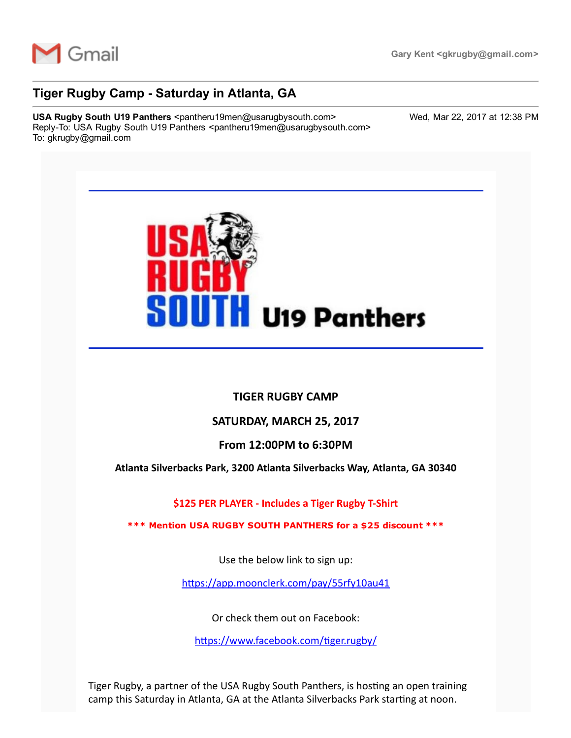

# Tiger Rugby Camp - Saturday in Atlanta, GA

USA Rugby South U19 Panthers <pantheru19men@usarugbysouth.com> Wed, Mar 22, 2017 at 12:38 PM Reply-To: USA Rugby South U19 Panthers <pantheru19men@usarugbysouth.com> To: gkrugby@gmail.com



### TIGER RUGBY CAMP

### SATURDAY, MARCH 25, 2017

### From 12:00PM to 6:30PM

Atlanta Silverbacks Park, 3200 Atlanta Silverbacks Way, Atlanta, GA 30340

\$125 PER PLAYER ‐ Includes a Tiger Rugby T‐Shirt

\*\*\* Mention USA RUGBY SOUTH PANTHERS for a \$25 discount \*\*\*

Use the below link to sign up:

https://app.moonclerk.com/pay/55rfy10au41

Or check them out on Facebook:

https://www.facebook.com/tiger.rugby/

Tiger Rugby, a partner of the USA Rugby South Panthers, is hosting an open training camp this Saturday in Atlanta, GA at the Atlanta Silverbacks Park starting at noon.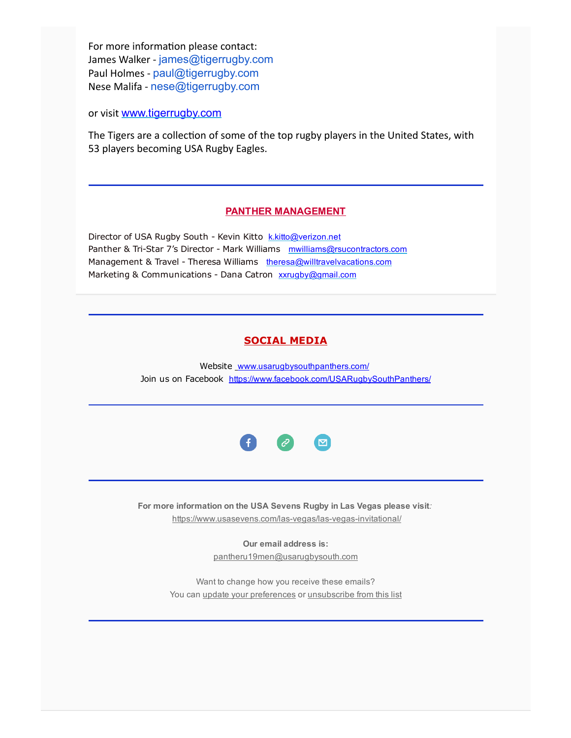For more information please contact: James Walker - [james@tigerrugby.com](mailto:james@tigerrugby.com) Paul Holmes ‐ [paul@tigerrugby.com](mailto:paul@tigerrugby.com) Nese Malifa ‐ [nese@tigerrugby.com](mailto:nese@tigerrugby.com)

or visit [www.tigerrugby.com](http://usarugbysouthpanthers.us14.list-manage.com/track/click?u=eb4b15ceee985d50206754bca&id=4bfbc184da&e=6a1545ea88)

The Tigers are a collection of some of the top rugby players in the United States, with 53 players becoming USA Rugby Eagles.

#### PANTHER MANAGEMENT

Director of USA Rugby South - Kevin Kitto [k.kitto@verizon.net](mailto:k.kitto@verizon.net) Panther & Tri-Star 7's Director - Mark Williams [mwilliams@rsucontractors.com](mailto:mwilliams@rsucontractors.com) Management & Travel - Theresa Williams [theresa@willtravelvacations.com](mailto:theresa@willtravelvacations.com) Marketing & Communications - Dana Catron [xxrugby@gmail.com](mailto:xxrugby@gmail.com)

## SOCIAL MEDIA

Website [www.usarugbysouthpanthers.com/](http://usarugbysouthpanthers.us14.list-manage.com/track/click?u=eb4b15ceee985d50206754bca&id=9f28c0d359&e=6a1545ea88) Join us on Facebook [https://www.facebook.com/USARugbySouthPanthers/](http://usarugbysouthpanthers.us14.list-manage.com/track/click?u=eb4b15ceee985d50206754bca&id=62b7378f9d&e=6a1545ea88)



For more information on the USA Sevens Rugby in Las Vegas please visit: https://www.usasevens.com/las-vegas/las-vegas-invitational/

> Our email address is: [pantheru19men@usarugbysouth.com](mailto:pantheru19men@usarugbysouth.com)

Want to change how you receive these emails? You can update your [preferences](http://usarugbysouthpanthers.us14.list-manage.com/profile?u=eb4b15ceee985d50206754bca&id=12083f89cc&e=6a1545ea88) or [unsubscribe](http://usarugbysouthpanthers.us14.list-manage.com/unsubscribe?u=eb4b15ceee985d50206754bca&id=12083f89cc&e=6a1545ea88&c=3040edc881) from this list